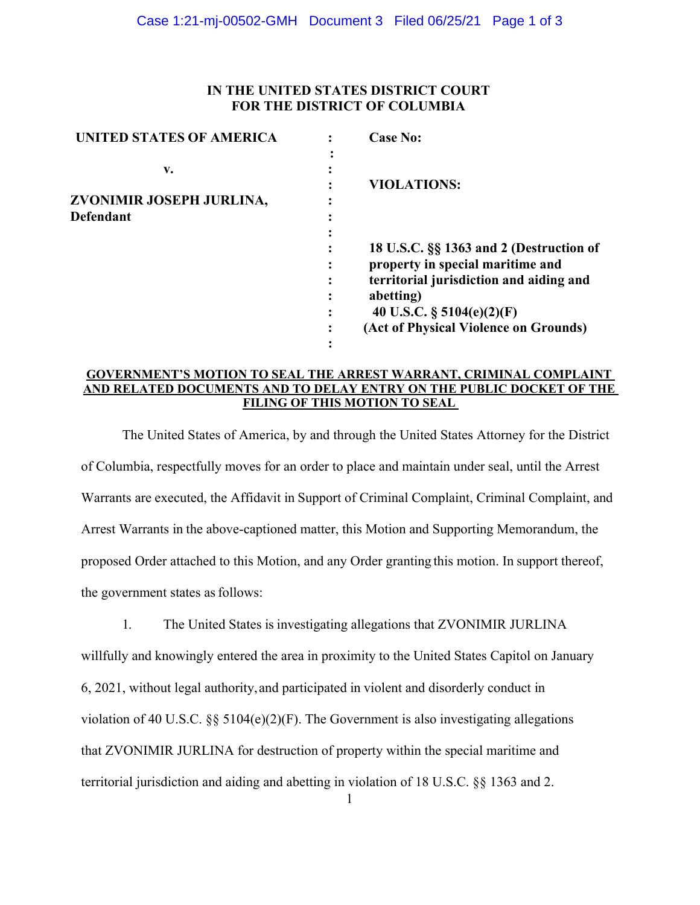# **IN THE UNITED STATES DISTRICT COURT FOR THE DISTRICT OF COLUMBIA**

| <b>UNITED STATES OF AMERICA</b> | <b>Case No:</b>                         |
|---------------------------------|-----------------------------------------|
|                                 |                                         |
| v.                              |                                         |
|                                 | <b>VIOLATIONS:</b>                      |
| ZVONIMIR JOSEPH JURLINA,        |                                         |
| <b>Defendant</b>                |                                         |
|                                 |                                         |
|                                 | 18 U.S.C. §§ 1363 and 2 (Destruction of |
|                                 | property in special maritime and        |
|                                 | territorial jurisdiction and aiding and |
|                                 | abetting)                               |
|                                 | 40 U.S.C. $\S$ 5104(e)(2)(F)            |
|                                 | (Act of Physical Violence on Grounds)   |
|                                 |                                         |

## **GOVERNMENT'S MOTION TO SEAL THE ARREST WARRANT, CRIMINAL COMPLAINT AND RELATED DOCUMENTS AND TO DELAY ENTRY ON THE PUBLIC DOCKET OF THE FILING OF THIS MOTION TO SEAL**

The United States of America, by and through the United States Attorney for the District of Columbia, respectfully moves for an order to place and maintain under seal, until the Arrest Warrants are executed, the Affidavit in Support of Criminal Complaint, Criminal Complaint, and Arrest Warrants in the above-captioned matter, this Motion and Supporting Memorandum, the proposed Order attached to this Motion, and any Order granting this motion. In support thereof, the government states as follows:

1. The United States is investigating allegations that ZVONIMIR JURLINA willfully and knowingly entered the area in proximity to the United States Capitol on January 6, 2021, without legal authority,and participated in violent and disorderly conduct in violation of 40 U.S.C. §§ 5104(e)(2)(F). The Government is also investigating allegations that ZVONIMIR JURLINA for destruction of property within the special maritime and territorial jurisdiction and aiding and abetting in violation of 18 U.S.C. §§ 1363 and 2.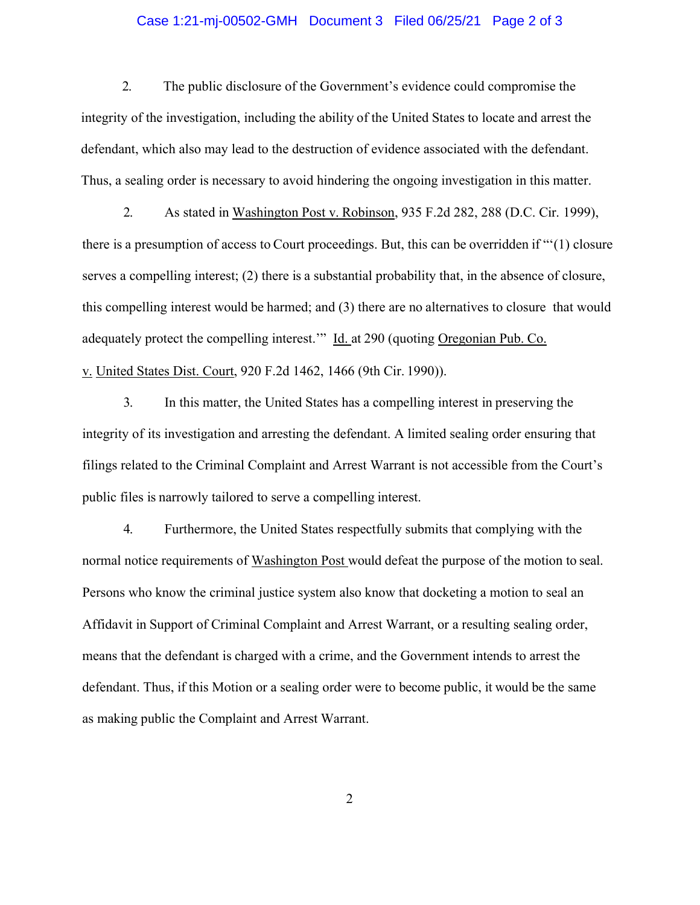## Case 1:21-mj-00502-GMH Document 3 Filed 06/25/21 Page 2 of 3

2. The public disclosure of the Government's evidence could compromise the integrity of the investigation, including the ability of the United States to locate and arrest the defendant, which also may lead to the destruction of evidence associated with the defendant. Thus, a sealing order is necessary to avoid hindering the ongoing investigation in this matter.

2. As stated in Washington Post v. Robinson, 935 F.2d 282, 288 (D.C. Cir. 1999), there is a presumption of access to Court proceedings. But, this can be overridden if "'(1) closure serves a compelling interest; (2) there is a substantial probability that, in the absence of closure, this compelling interest would be harmed; and (3) there are no alternatives to closure that would adequately protect the compelling interest." Id. at 290 (quoting Oregonian Pub. Co. v. United States Dist. Court, 920 F.2d 1462, 1466 (9th Cir. 1990)).

3. In this matter, the United States has a compelling interest in preserving the integrity of its investigation and arresting the defendant. A limited sealing order ensuring that filings related to the Criminal Complaint and Arrest Warrant is not accessible from the Court's public files is narrowly tailored to serve a compelling interest.

4. Furthermore, the United States respectfully submits that complying with the normal notice requirements of Washington Post would defeat the purpose of the motion to seal. Persons who know the criminal justice system also know that docketing a motion to seal an Affidavit in Support of Criminal Complaint and Arrest Warrant, or a resulting sealing order, means that the defendant is charged with a crime, and the Government intends to arrest the defendant. Thus, if this Motion or a sealing order were to become public, it would be the same as making public the Complaint and Arrest Warrant.

2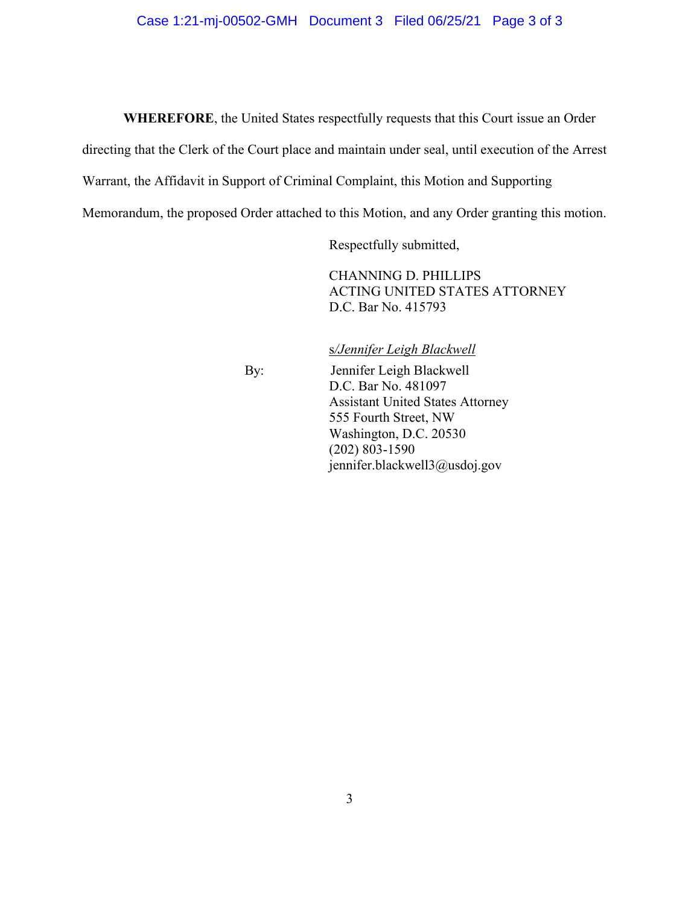### Case 1:21-mj-00502-GMH Document 3 Filed 06/25/21 Page 3 of 3

**WHEREFORE**, the United States respectfully requests that this Court issue an Order

directing that the Clerk of the Court place and maintain under seal, until execution of the Arrest

Warrant, the Affidavit in Support of Criminal Complaint, this Motion and Supporting

Memorandum, the proposed Order attached to this Motion, and any Order granting this motion.

Respectfully submitted,

CHANNING D. PHILLIPS ACTING UNITED STATES ATTORNEY D.C. Bar No. 415793

s*/Jennifer Leigh Blackwell*

By: Jennifer Leigh Blackwell D.C. Bar No. 481097 Assistant United States Attorney 555 Fourth Street, NW Washington, D.C. 20530 (202) 803-1590 jennifer.blackwell3@usdoj.gov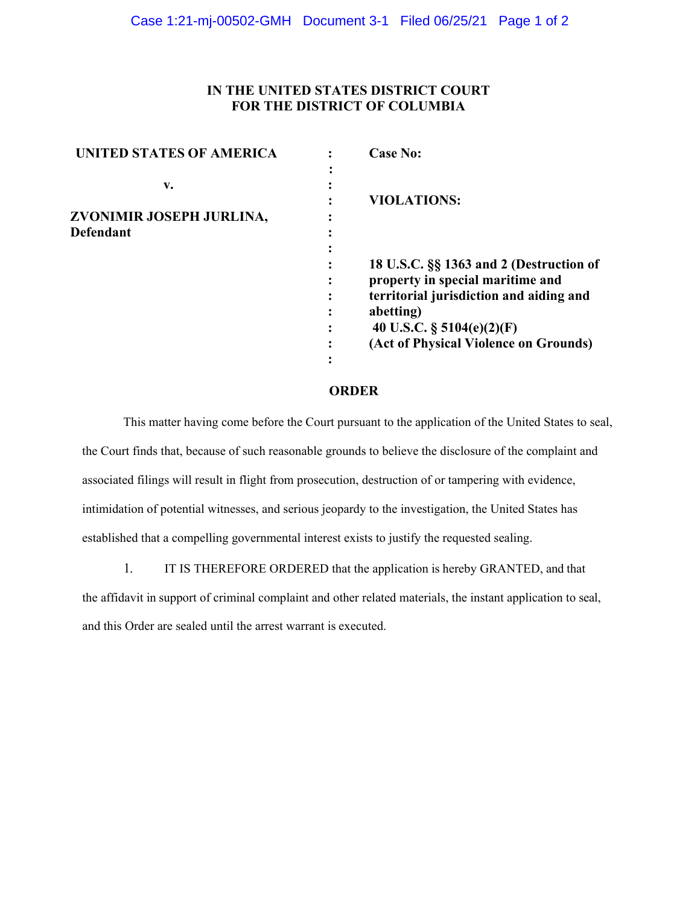# **IN THE UNITED STATES DISTRICT COURT FOR THE DISTRICT OF COLUMBIA**

| UNITED STATES OF AMERICA | <b>Case No:</b>                         |
|--------------------------|-----------------------------------------|
|                          |                                         |
| v.                       |                                         |
|                          | <b>VIOLATIONS:</b>                      |
| ZVONIMIR JOSEPH JURLINA, |                                         |
| <b>Defendant</b>         |                                         |
|                          |                                         |
|                          | 18 U.S.C. §§ 1363 and 2 (Destruction of |
|                          | property in special maritime and        |
|                          | territorial jurisdiction and aiding and |
|                          | abetting)                               |
|                          | 40 U.S.C. $\S$ 5104(e)(2)(F)            |
|                          | (Act of Physical Violence on Grounds)   |
|                          |                                         |

### **ORDER**

This matter having come before the Court pursuant to the application of the United States to seal, the Court finds that, because of such reasonable grounds to believe the disclosure of the complaint and associated filings will result in flight from prosecution, destruction of or tampering with evidence, intimidation of potential witnesses, and serious jeopardy to the investigation, the United States has established that a compelling governmental interest exists to justify the requested sealing.

1. IT IS THEREFORE ORDERED that the application is hereby GRANTED, and that the affidavit in support of criminal complaint and other related materials, the instant application to seal, and this Order are sealed until the arrest warrant is executed.